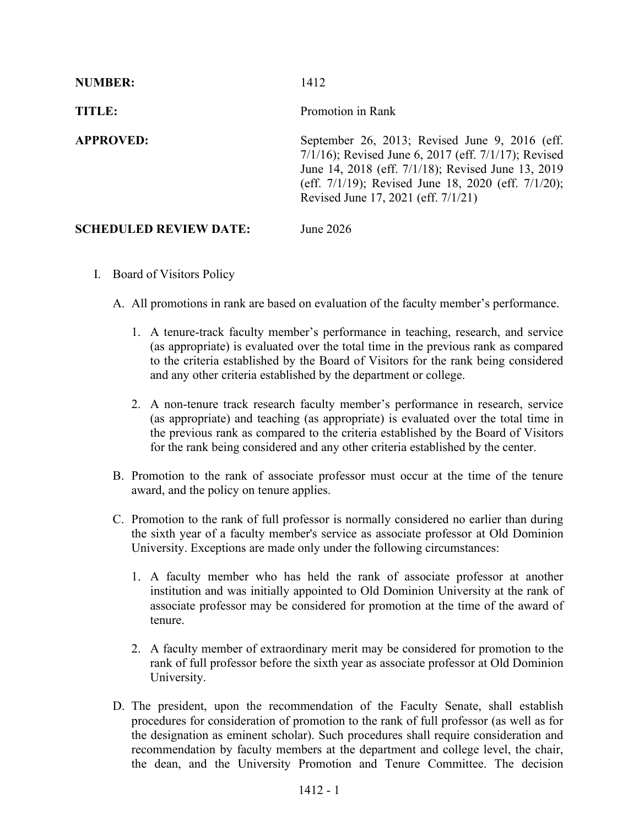| <b>NUMBER:</b>                | 1412                                                                                                                                                                                                                                                            |
|-------------------------------|-----------------------------------------------------------------------------------------------------------------------------------------------------------------------------------------------------------------------------------------------------------------|
| TITLE:                        | Promotion in Rank                                                                                                                                                                                                                                               |
| <b>APPROVED:</b>              | September 26, 2013; Revised June 9, 2016 (eff.<br>$7/1/16$ ; Revised June 6, 2017 (eff. $7/1/17$ ); Revised<br>June 14, 2018 (eff. 7/1/18); Revised June 13, 2019<br>(eff. 7/1/19); Revised June 18, 2020 (eff. 7/1/20);<br>Revised June 17, 2021 (eff. 7/1/21) |
| <b>SCHEDULED REVIEW DATE:</b> | June 2026                                                                                                                                                                                                                                                       |

- I. Board of Visitors Policy
	- A. All promotions in rank are based on evaluation of the faculty member's performance.
		- 1. A tenure-track faculty member's performance in teaching, research, and service (as appropriate) is evaluated over the total time in the previous rank as compared to the criteria established by the Board of Visitors for the rank being considered and any other criteria established by the department or college.
		- 2. A non-tenure track research faculty member's performance in research, service (as appropriate) and teaching (as appropriate) is evaluated over the total time in the previous rank as compared to the criteria established by the Board of Visitors for the rank being considered and any other criteria established by the center.
	- B. Promotion to the rank of associate professor must occur at the time of the tenure award, and the policy on tenure applies.
	- C. Promotion to the rank of full professor is normally considered no earlier than during the sixth year of a faculty member's service as associate professor at Old Dominion University. Exceptions are made only under the following circumstances:
		- 1. A faculty member who has held the rank of associate professor at another institution and was initially appointed to Old Dominion University at the rank of associate professor may be considered for promotion at the time of the award of tenure.
		- 2. A faculty member of extraordinary merit may be considered for promotion to the rank of full professor before the sixth year as associate professor at Old Dominion University.
	- D. The president, upon the recommendation of the Faculty Senate, shall establish procedures for consideration of promotion to the rank of full professor (as well as for the designation as eminent scholar). Such procedures shall require consideration and recommendation by faculty members at the department and college level, the chair, the dean, and the University Promotion and Tenure Committee. The decision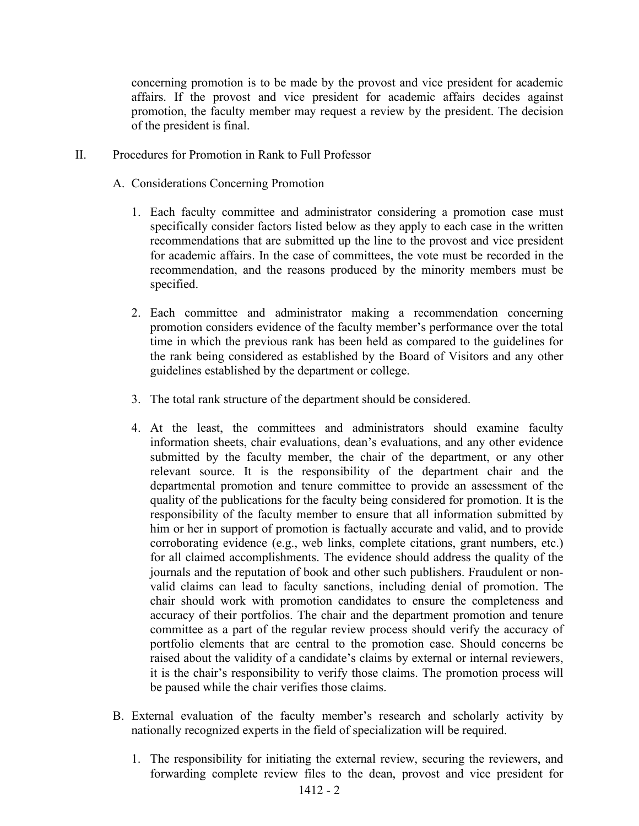concerning promotion is to be made by the provost and vice president for academic affairs. If the provost and vice president for academic affairs decides against promotion, the faculty member may request a review by the president. The decision of the president is final.

- II. Procedures for Promotion in Rank to Full Professor
	- A. Considerations Concerning Promotion
		- 1. Each faculty committee and administrator considering a promotion case must specifically consider factors listed below as they apply to each case in the written recommendations that are submitted up the line to the provost and vice president for academic affairs. In the case of committees, the vote must be recorded in the recommendation, and the reasons produced by the minority members must be specified.
		- 2. Each committee and administrator making a recommendation concerning promotion considers evidence of the faculty member's performance over the total time in which the previous rank has been held as compared to the guidelines for the rank being considered as established by the Board of Visitors and any other guidelines established by the department or college.
		- 3. The total rank structure of the department should be considered.
		- 4. At the least, the committees and administrators should examine faculty information sheets, chair evaluations, dean's evaluations, and any other evidence submitted by the faculty member, the chair of the department, or any other relevant source. It is the responsibility of the department chair and the departmental promotion and tenure committee to provide an assessment of the quality of the publications for the faculty being considered for promotion. It is the responsibility of the faculty member to ensure that all information submitted by him or her in support of promotion is factually accurate and valid, and to provide corroborating evidence (e.g., web links, complete citations, grant numbers, etc.) for all claimed accomplishments. The evidence should address the quality of the journals and the reputation of book and other such publishers. Fraudulent or nonvalid claims can lead to faculty sanctions, including denial of promotion. The chair should work with promotion candidates to ensure the completeness and accuracy of their portfolios. The chair and the department promotion and tenure committee as a part of the regular review process should verify the accuracy of portfolio elements that are central to the promotion case. Should concerns be raised about the validity of a candidate's claims by external or internal reviewers, it is the chair's responsibility to verify those claims. The promotion process will be paused while the chair verifies those claims.
	- B. External evaluation of the faculty member's research and scholarly activity by nationally recognized experts in the field of specialization will be required.
		- 1. The responsibility for initiating the external review, securing the reviewers, and forwarding complete review files to the dean, provost and vice president for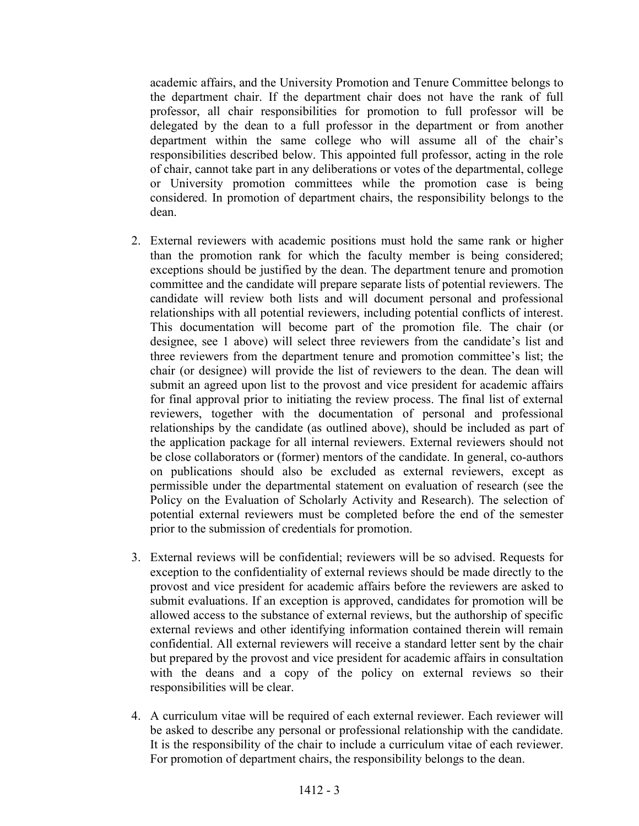academic affairs, and the University Promotion and Tenure Committee belongs to the department chair. If the department chair does not have the rank of full professor, all chair responsibilities for promotion to full professor will be delegated by the dean to a full professor in the department or from another department within the same college who will assume all of the chair's responsibilities described below. This appointed full professor, acting in the role of chair, cannot take part in any deliberations or votes of the departmental, college or University promotion committees while the promotion case is being considered. In promotion of department chairs, the responsibility belongs to the dean.

- 2. External reviewers with academic positions must hold the same rank or higher than the promotion rank for which the faculty member is being considered; exceptions should be justified by the dean. The department tenure and promotion committee and the candidate will prepare separate lists of potential reviewers. The candidate will review both lists and will document personal and professional relationships with all potential reviewers, including potential conflicts of interest. This documentation will become part of the promotion file. The chair (or designee, see 1 above) will select three reviewers from the candidate's list and three reviewers from the department tenure and promotion committee's list; the chair (or designee) will provide the list of reviewers to the dean. The dean will submit an agreed upon list to the provost and vice president for academic affairs for final approval prior to initiating the review process. The final list of external reviewers, together with the documentation of personal and professional relationships by the candidate (as outlined above), should be included as part of the application package for all internal reviewers. External reviewers should not be close collaborators or (former) mentors of the candidate. In general, co-authors on publications should also be excluded as external reviewers, except as permissible under the departmental statement on evaluation of research (see the Policy on the Evaluation of Scholarly Activity and Research). The selection of potential external reviewers must be completed before the end of the semester prior to the submission of credentials for promotion.
- 3. External reviews will be confidential; reviewers will be so advised. Requests for exception to the confidentiality of external reviews should be made directly to the provost and vice president for academic affairs before the reviewers are asked to submit evaluations. If an exception is approved, candidates for promotion will be allowed access to the substance of external reviews, but the authorship of specific external reviews and other identifying information contained therein will remain confidential. All external reviewers will receive a standard letter sent by the chair but prepared by the provost and vice president for academic affairs in consultation with the deans and a copy of the policy on external reviews so their responsibilities will be clear.
- 4. A curriculum vitae will be required of each external reviewer. Each reviewer will be asked to describe any personal or professional relationship with the candidate. It is the responsibility of the chair to include a curriculum vitae of each reviewer. For promotion of department chairs, the responsibility belongs to the dean.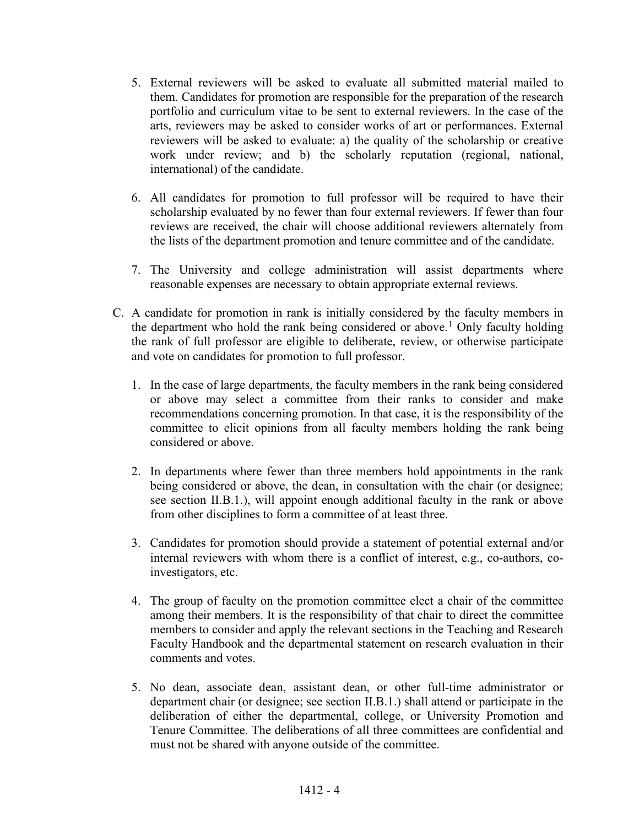- 5. External reviewers will be asked to evaluate all submitted material mailed to them. Candidates for promotion are responsible for the preparation of the research portfolio and curriculum vitae to be sent to external reviewers. In the case of the arts, reviewers may be asked to consider works of art or performances. External reviewers will be asked to evaluate: a) the quality of the scholarship or creative work under review; and b) the scholarly reputation (regional, national, international) of the candidate.
- 6. All candidates for promotion to full professor will be required to have their scholarship evaluated by no fewer than four external reviewers. If fewer than four reviews are received, the chair will choose additional reviewers alternately from the lists of the department promotion and tenure committee and of the candidate.
- 7. The University and college administration will assist departments where reasonable expenses are necessary to obtain appropriate external reviews.
- C. A candidate for promotion in rank is initially considered by the faculty members in the department who hold the rank being considered or above.<sup>[1](#page-8-0)</sup> Only faculty holding the rank of full professor are eligible to deliberate, review, or otherwise participate and vote on candidates for promotion to full professor.
	- 1. In the case of large departments, the faculty members in the rank being considered or above may select a committee from their ranks to consider and make recommendations concerning promotion. In that case, it is the responsibility of the committee to elicit opinions from all faculty members holding the rank being considered or above.
	- 2. In departments where fewer than three members hold appointments in the rank being considered or above, the dean, in consultation with the chair (or designee; see section II.B.1.), will appoint enough additional faculty in the rank or above from other disciplines to form a committee of at least three.
	- 3. Candidates for promotion should provide a statement of potential external and/or internal reviewers with whom there is a conflict of interest, e.g., co-authors, coinvestigators, etc.
	- 4. The group of faculty on the promotion committee elect a chair of the committee among their members. It is the responsibility of that chair to direct the committee members to consider and apply the relevant sections in the Teaching and Research Faculty Handbook and the departmental statement on research evaluation in their comments and votes.
	- 5. No dean, associate dean, assistant dean, or other full-time administrator or department chair (or designee; see section II.B.1.) shall attend or participate in the deliberation of either the departmental, college, or University Promotion and Tenure Committee. The deliberations of all three committees are confidential and must not be shared with anyone outside of the committee.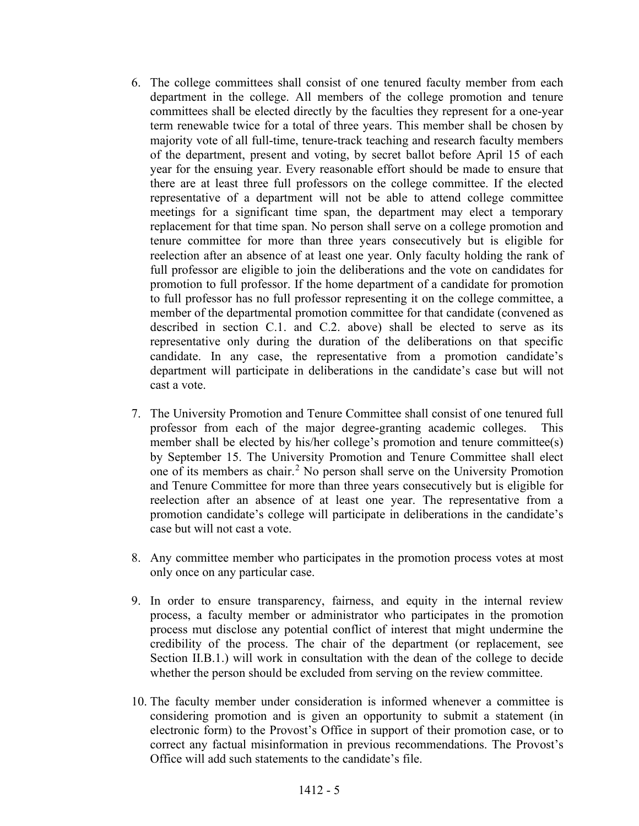- 6. The college committees shall consist of one tenured faculty member from each department in the college. All members of the college promotion and tenure committees shall be elected directly by the faculties they represent for a one-year term renewable twice for a total of three years. This member shall be chosen by majority vote of all full-time, tenure-track teaching and research faculty members of the department, present and voting, by secret ballot before April 15 of each year for the ensuing year. Every reasonable effort should be made to ensure that there are at least three full professors on the college committee. If the elected representative of a department will not be able to attend college committee meetings for a significant time span, the department may elect a temporary replacement for that time span. No person shall serve on a college promotion and tenure committee for more than three years consecutively but is eligible for reelection after an absence of at least one year. Only faculty holding the rank of full professor are eligible to join the deliberations and the vote on candidates for promotion to full professor. If the home department of a candidate for promotion to full professor has no full professor representing it on the college committee, a member of the departmental promotion committee for that candidate (convened as described in section C.1. and C.2. above) shall be elected to serve as its representative only during the duration of the deliberations on that specific candidate. In any case, the representative from a promotion candidate's department will participate in deliberations in the candidate's case but will not cast a vote.
- 7. The University Promotion and Tenure Committee shall consist of one tenured full professor from each of the major degree-granting academic colleges. This member shall be elected by his/her college's promotion and tenure committee(s) by September 15. The University Promotion and Tenure Committee shall elect one of its members as chair.[2](#page-8-1) No person shall serve on the University Promotion and Tenure Committee for more than three years consecutively but is eligible for reelection after an absence of at least one year. The representative from a promotion candidate's college will participate in deliberations in the candidate's case but will not cast a vote.
- 8. Any committee member who participates in the promotion process votes at most only once on any particular case.
- 9. In order to ensure transparency, fairness, and equity in the internal review process, a faculty member or administrator who participates in the promotion process mut disclose any potential conflict of interest that might undermine the credibility of the process. The chair of the department (or replacement, see Section II.B.1.) will work in consultation with the dean of the college to decide whether the person should be excluded from serving on the review committee.
- 10. The faculty member under consideration is informed whenever a committee is considering promotion and is given an opportunity to submit a statement (in electronic form) to the Provost's Office in support of their promotion case, or to correct any factual misinformation in previous recommendations. The Provost's Office will add such statements to the candidate's file.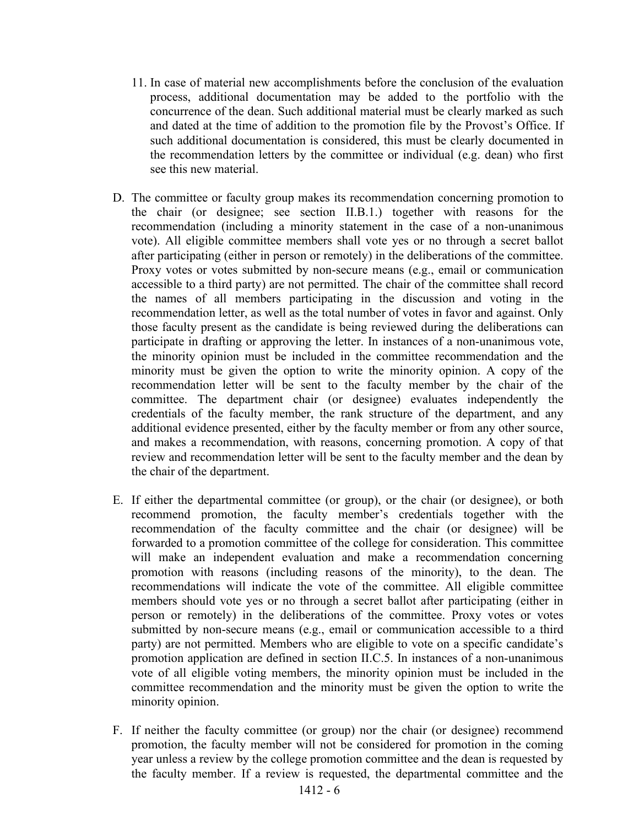- 11. In case of material new accomplishments before the conclusion of the evaluation process, additional documentation may be added to the portfolio with the concurrence of the dean. Such additional material must be clearly marked as such and dated at the time of addition to the promotion file by the Provost's Office. If such additional documentation is considered, this must be clearly documented in the recommendation letters by the committee or individual (e.g. dean) who first see this new material.
- D. The committee or faculty group makes its recommendation concerning promotion to the chair (or designee; see section II.B.1.) together with reasons for the recommendation (including a minority statement in the case of a non-unanimous vote). All eligible committee members shall vote yes or no through a secret ballot after participating (either in person or remotely) in the deliberations of the committee. Proxy votes or votes submitted by non-secure means (e.g., email or communication accessible to a third party) are not permitted. The chair of the committee shall record the names of all members participating in the discussion and voting in the recommendation letter, as well as the total number of votes in favor and against. Only those faculty present as the candidate is being reviewed during the deliberations can participate in drafting or approving the letter. In instances of a non-unanimous vote, the minority opinion must be included in the committee recommendation and the minority must be given the option to write the minority opinion. A copy of the recommendation letter will be sent to the faculty member by the chair of the committee. The department chair (or designee) evaluates independently the credentials of the faculty member, the rank structure of the department, and any additional evidence presented, either by the faculty member or from any other source, and makes a recommendation, with reasons, concerning promotion. A copy of that review and recommendation letter will be sent to the faculty member and the dean by the chair of the department.
- E. If either the departmental committee (or group), or the chair (or designee), or both recommend promotion, the faculty member's credentials together with the recommendation of the faculty committee and the chair (or designee) will be forwarded to a promotion committee of the college for consideration. This committee will make an independent evaluation and make a recommendation concerning promotion with reasons (including reasons of the minority), to the dean. The recommendations will indicate the vote of the committee. All eligible committee members should vote yes or no through a secret ballot after participating (either in person or remotely) in the deliberations of the committee. Proxy votes or votes submitted by non-secure means (e.g., email or communication accessible to a third party) are not permitted. Members who are eligible to vote on a specific candidate's promotion application are defined in section II.C.5. In instances of a non-unanimous vote of all eligible voting members, the minority opinion must be included in the committee recommendation and the minority must be given the option to write the minority opinion.
- F. If neither the faculty committee (or group) nor the chair (or designee) recommend promotion, the faculty member will not be considered for promotion in the coming year unless a review by the college promotion committee and the dean is requested by the faculty member. If a review is requested, the departmental committee and the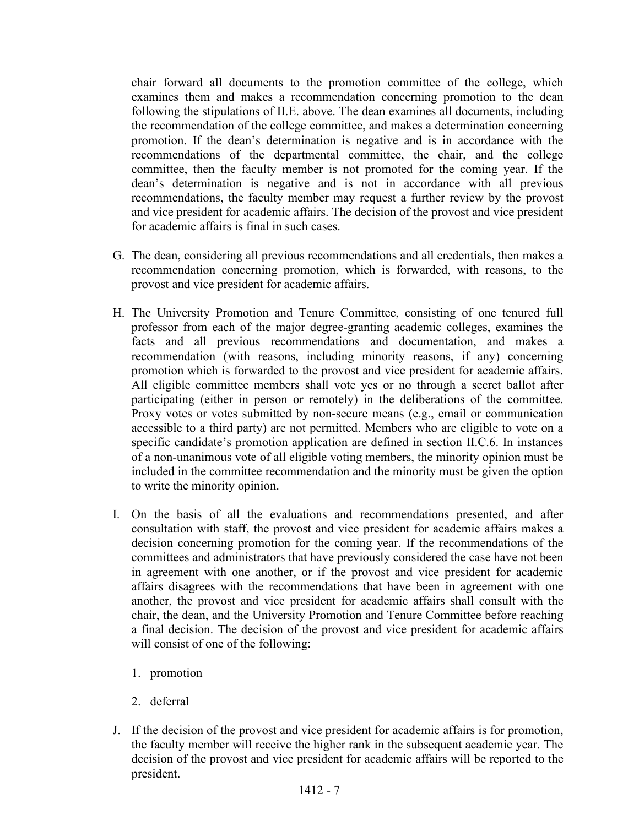chair forward all documents to the promotion committee of the college, which examines them and makes a recommendation concerning promotion to the dean following the stipulations of II.E. above. The dean examines all documents, including the recommendation of the college committee, and makes a determination concerning promotion. If the dean's determination is negative and is in accordance with the recommendations of the departmental committee, the chair, and the college committee, then the faculty member is not promoted for the coming year. If the dean's determination is negative and is not in accordance with all previous recommendations, the faculty member may request a further review by the provost and vice president for academic affairs. The decision of the provost and vice president for academic affairs is final in such cases.

- G. The dean, considering all previous recommendations and all credentials, then makes a recommendation concerning promotion, which is forwarded, with reasons, to the provost and vice president for academic affairs.
- H. The University Promotion and Tenure Committee, consisting of one tenured full professor from each of the major degree-granting academic colleges, examines the facts and all previous recommendations and documentation, and makes a recommendation (with reasons, including minority reasons, if any) concerning promotion which is forwarded to the provost and vice president for academic affairs. All eligible committee members shall vote yes or no through a secret ballot after participating (either in person or remotely) in the deliberations of the committee. Proxy votes or votes submitted by non-secure means (e.g., email or communication accessible to a third party) are not permitted. Members who are eligible to vote on a specific candidate's promotion application are defined in section II.C.6. In instances of a non-unanimous vote of all eligible voting members, the minority opinion must be included in the committee recommendation and the minority must be given the option to write the minority opinion.
- I. On the basis of all the evaluations and recommendations presented, and after consultation with staff, the provost and vice president for academic affairs makes a decision concerning promotion for the coming year. If the recommendations of the committees and administrators that have previously considered the case have not been in agreement with one another, or if the provost and vice president for academic affairs disagrees with the recommendations that have been in agreement with one another, the provost and vice president for academic affairs shall consult with the chair, the dean, and the University Promotion and Tenure Committee before reaching a final decision. The decision of the provost and vice president for academic affairs will consist of one of the following:
	- 1. promotion
	- 2. deferral
- J. If the decision of the provost and vice president for academic affairs is for promotion, the faculty member will receive the higher rank in the subsequent academic year. The decision of the provost and vice president for academic affairs will be reported to the president.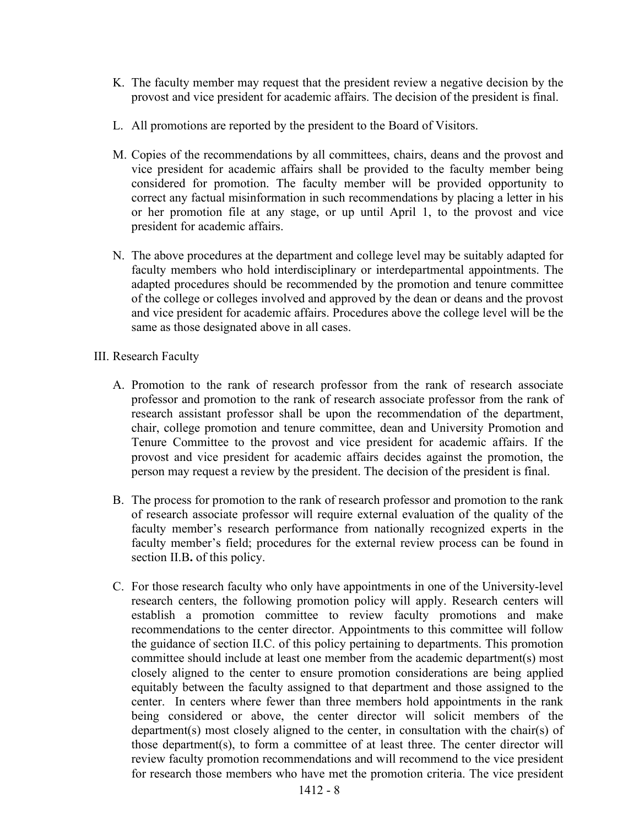- K. The faculty member may request that the president review a negative decision by the provost and vice president for academic affairs. The decision of the president is final.
- L. All promotions are reported by the president to the Board of Visitors.
- M. Copies of the recommendations by all committees, chairs, deans and the provost and vice president for academic affairs shall be provided to the faculty member being considered for promotion. The faculty member will be provided opportunity to correct any factual misinformation in such recommendations by placing a letter in his or her promotion file at any stage, or up until April 1, to the provost and vice president for academic affairs.
- N. The above procedures at the department and college level may be suitably adapted for faculty members who hold interdisciplinary or interdepartmental appointments. The adapted procedures should be recommended by the promotion and tenure committee of the college or colleges involved and approved by the dean or deans and the provost and vice president for academic affairs. Procedures above the college level will be the same as those designated above in all cases.
- III. Research Faculty
	- A. Promotion to the rank of research professor from the rank of research associate professor and promotion to the rank of research associate professor from the rank of research assistant professor shall be upon the recommendation of the department, chair, college promotion and tenure committee, dean and University Promotion and Tenure Committee to the provost and vice president for academic affairs. If the provost and vice president for academic affairs decides against the promotion, the person may request a review by the president. The decision of the president is final.
	- B. The process for promotion to the rank of research professor and promotion to the rank of research associate professor will require external evaluation of the quality of the faculty member's research performance from nationally recognized experts in the faculty member's field; procedures for the external review process can be found in section II.B**.** of this policy.
	- C. For those research faculty who only have appointments in one of the University-level research centers, the following promotion policy will apply. Research centers will establish a promotion committee to review faculty promotions and make recommendations to the center director. Appointments to this committee will follow the guidance of section II.C. of this policy pertaining to departments. This promotion committee should include at least one member from the academic department(s) most closely aligned to the center to ensure promotion considerations are being applied equitably between the faculty assigned to that department and those assigned to the center. In centers where fewer than three members hold appointments in the rank being considered or above, the center director will solicit members of the department(s) most closely aligned to the center, in consultation with the chair(s) of those department(s), to form a committee of at least three. The center director will review faculty promotion recommendations and will recommend to the vice president for research those members who have met the promotion criteria. The vice president